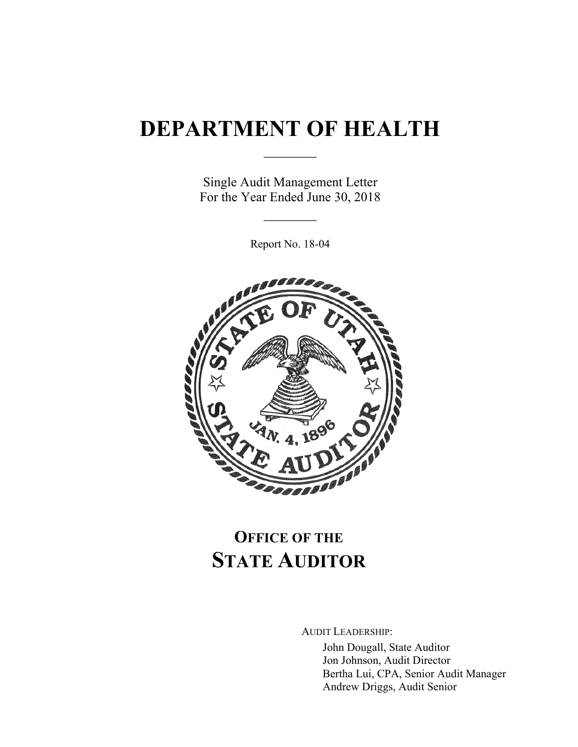# **DEPARTMENT OF HEALTH**

 $\frac{1}{2}$ 

Single Audit Management Letter For the Year Ended June 30, 2018

 $\frac{1}{2}$ 

Report No. 18-04



# **OFFICE OF THE STATE AUDITOR**

AUDIT LEADERSHIP:

John Dougall, State Auditor Jon Johnson, Audit Director Bertha Lui, CPA, Senior Audit Manager Andrew Driggs, Audit Senior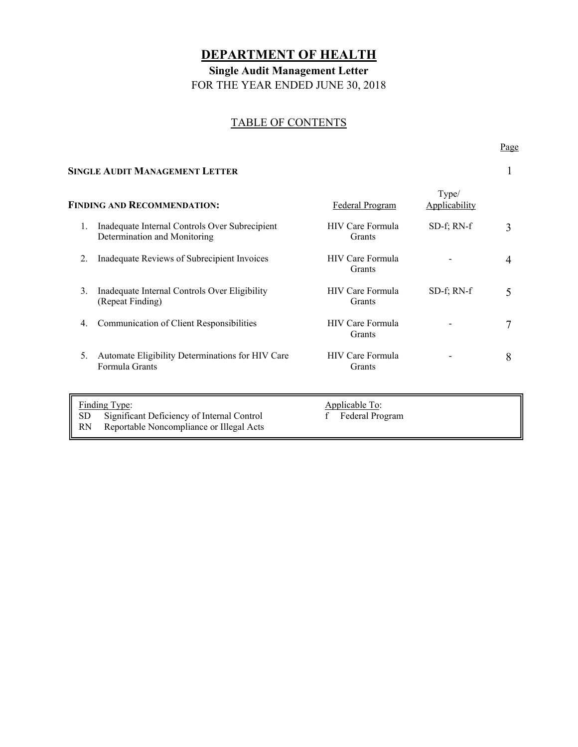## **DEPARTMENT OF HEALTH**

**Single Audit Management Letter** 

FOR THE YEAR ENDED JUNE 30, 2018

## TABLE OF CONTENTS

#### **SINGLE AUDIT MANAGEMENT LETTER** 1

Page **Page** 

| <b>FINDING AND RECOMMENDATION:</b> |                                                                                                         | Federal Program                        | Type/<br>Applicability |   |
|------------------------------------|---------------------------------------------------------------------------------------------------------|----------------------------------------|------------------------|---|
| 1.                                 | Inadequate Internal Controls Over Subrecipient<br>Determination and Monitoring                          | HIV Care Formula<br>Grants             | $SD-f$ ; RN- $f$       | 3 |
| 2.                                 | Inadequate Reviews of Subrecipient Invoices                                                             | HIV Care Formula<br>Grants             |                        | 4 |
| 3.                                 | Inadequate Internal Controls Over Eligibility<br>(Repeat Finding)                                       | HIV Care Formula<br>Grants             | $SD-f$ ; RN- $f$       | 5 |
| 4.                                 | Communication of Client Responsibilities                                                                | HIV Care Formula<br>Grants             |                        | 7 |
| 5.                                 | Automate Eligibility Determinations for HIV Care<br>Formula Grants                                      | HIV Care Formula<br>Grants             |                        | 8 |
| <b>SD</b><br>RN                    | Finding Type:<br>Significant Deficiency of Internal Control<br>Reportable Noncompliance or Illegal Acts | Applicable To:<br>Federal Program<br>f |                        |   |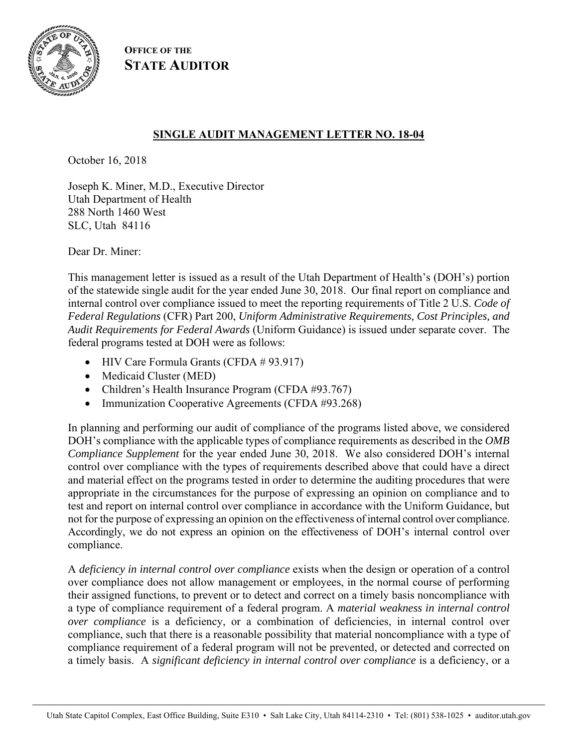

**OFFICE OF THE STATE AUDITOR**

## **SINGLE AUDIT MANAGEMENT LETTER NO. 18-04**

October 16, 2018

Joseph K. Miner, M.D., Executive Director Utah Department of Health 288 North 1460 West SLC, Utah 84116

Dear Dr. Miner:

This management letter is issued as a result of the Utah Department of Health's (DOH's) portion of the statewide single audit for the year ended June 30, 2018. Our final report on compliance and internal control over compliance issued to meet the reporting requirements of Title 2 U.S. *Code of Federal Regulations* (CFR) Part 200, *Uniform Administrative Requirements, Cost Principles, and Audit Requirements for Federal Awards* (Uniform Guidance) is issued under separate cover. The federal programs tested at DOH were as follows:

- HIV Care Formula Grants (CFDA # 93.917)
- Medicaid Cluster (MED)
- Children's Health Insurance Program (CFDA #93.767)
- Immunization Cooperative Agreements (CFDA #93.268)

In planning and performing our audit of compliance of the programs listed above, we considered DOH's compliance with the applicable types of compliance requirements as described in the *OMB Compliance Supplement* for the year ended June 30, 2018. We also considered DOH's internal control over compliance with the types of requirements described above that could have a direct and material effect on the programs tested in order to determine the auditing procedures that were appropriate in the circumstances for the purpose of expressing an opinion on compliance and to test and report on internal control over compliance in accordance with the Uniform Guidance, but not for the purpose of expressing an opinion on the effectiveness of internal control over compliance. Accordingly, we do not express an opinion on the effectiveness of DOH's internal control over compliance.

A *deficiency in internal control over compliance* exists when the design or operation of a control over compliance does not allow management or employees, in the normal course of performing their assigned functions, to prevent or to detect and correct on a timely basis noncompliance with a type of compliance requirement of a federal program. A *material weakness in internal control over compliance* is a deficiency, or a combination of deficiencies, in internal control over compliance, such that there is a reasonable possibility that material noncompliance with a type of compliance requirement of a federal program will not be prevented, or detected and corrected on a timely basis. A *significant deficiency in internal control over compliance* is a deficiency, or a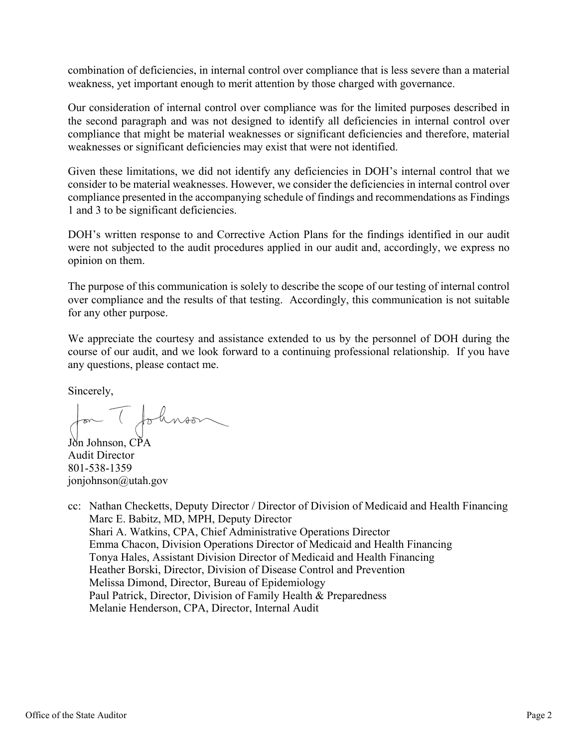combination of deficiencies, in internal control over compliance that is less severe than a material weakness, yet important enough to merit attention by those charged with governance.

Our consideration of internal control over compliance was for the limited purposes described in the second paragraph and was not designed to identify all deficiencies in internal control over compliance that might be material weaknesses or significant deficiencies and therefore, material weaknesses or significant deficiencies may exist that were not identified.

Given these limitations, we did not identify any deficiencies in DOH's internal control that we consider to be material weaknesses. However, we consider the deficiencies in internal control over compliance presented in the accompanying schedule of findings and recommendations as Findings 1 and 3 to be significant deficiencies.

DOH's written response to and Corrective Action Plans for the findings identified in our audit were not subjected to the audit procedures applied in our audit and, accordingly, we express no opinion on them.

The purpose of this communication is solely to describe the scope of our testing of internal control over compliance and the results of that testing. Accordingly, this communication is not suitable for any other purpose.

We appreciate the courtesy and assistance extended to us by the personnel of DOH during the course of our audit, and we look forward to a continuing professional relationship. If you have any questions, please contact me.

Sincerely,

for (followson

Johnson, CPA Audit Director 801-538-1359 jonjohnson@utah.gov

cc: Nathan Checketts, Deputy Director / Director of Division of Medicaid and Health Financing Marc E. Babitz, MD, MPH, Deputy Director Shari A. Watkins, CPA, Chief Administrative Operations Director Emma Chacon, Division Operations Director of Medicaid and Health Financing Tonya Hales, Assistant Division Director of Medicaid and Health Financing Heather Borski, Director, Division of Disease Control and Prevention Melissa Dimond, Director, Bureau of Epidemiology Paul Patrick, Director, Division of Family Health & Preparedness Melanie Henderson, CPA, Director, Internal Audit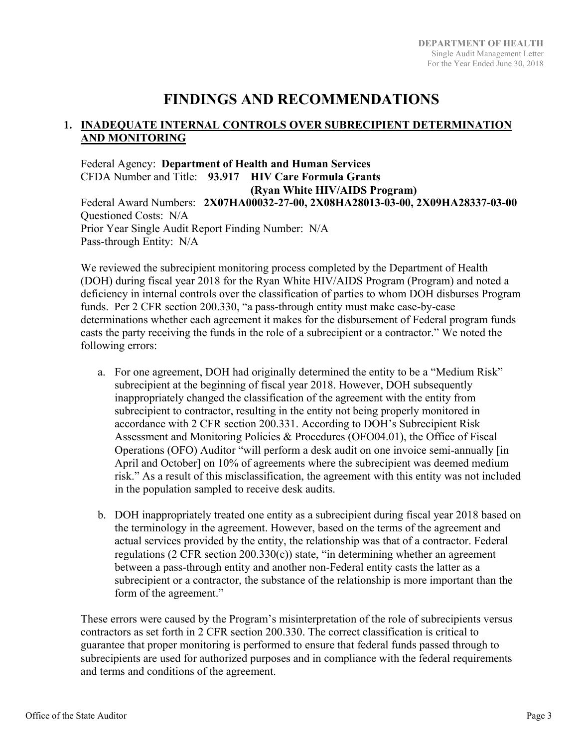## **FINDINGS AND RECOMMENDATIONS**

## **1. INADEQUATE INTERNAL CONTROLS OVER SUBRECIPIENT DETERMINATION AND MONITORING**

Federal Agency: **Department of Health and Human Services**  CFDA Number and Title: **93.917 HIV Care Formula Grants (Ryan White HIV/AIDS Program)**  Federal Award Numbers: **2X07HA00032-27-00, 2X08HA28013-03-00, 2X09HA28337-03-00**  Questioned Costs: N/A Prior Year Single Audit Report Finding Number: N/A Pass-through Entity: N/A

We reviewed the subrecipient monitoring process completed by the Department of Health (DOH) during fiscal year 2018 for the Ryan White HIV/AIDS Program (Program) and noted a deficiency in internal controls over the classification of parties to whom DOH disburses Program funds. Per 2 CFR section 200.330, "a pass-through entity must make case-by-case determinations whether each agreement it makes for the disbursement of Federal program funds casts the party receiving the funds in the role of a subrecipient or a contractor." We noted the following errors:

- a. For one agreement, DOH had originally determined the entity to be a "Medium Risk" subrecipient at the beginning of fiscal year 2018. However, DOH subsequently inappropriately changed the classification of the agreement with the entity from subrecipient to contractor, resulting in the entity not being properly monitored in accordance with 2 CFR section 200.331. According to DOH's Subrecipient Risk Assessment and Monitoring Policies & Procedures (OFO04.01), the Office of Fiscal Operations (OFO) Auditor "will perform a desk audit on one invoice semi-annually [in April and October] on 10% of agreements where the subrecipient was deemed medium risk." As a result of this misclassification, the agreement with this entity was not included in the population sampled to receive desk audits.
- b. DOH inappropriately treated one entity as a subrecipient during fiscal year 2018 based on the terminology in the agreement. However, based on the terms of the agreement and actual services provided by the entity, the relationship was that of a contractor. Federal regulations (2 CFR section 200.330 $(c)$ ) state, "in determining whether an agreement between a pass-through entity and another non-Federal entity casts the latter as a subrecipient or a contractor, the substance of the relationship is more important than the form of the agreement."

These errors were caused by the Program's misinterpretation of the role of subrecipients versus contractors as set forth in 2 CFR section 200.330. The correct classification is critical to guarantee that proper monitoring is performed to ensure that federal funds passed through to subrecipients are used for authorized purposes and in compliance with the federal requirements and terms and conditions of the agreement.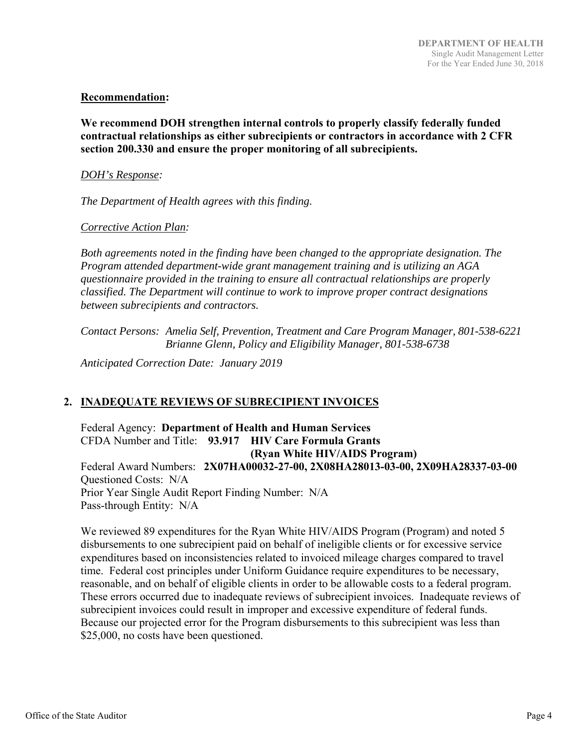## **Recommendation:**

**We recommend DOH strengthen internal controls to properly classify federally funded contractual relationships as either subrecipients or contractors in accordance with 2 CFR section 200.330 and ensure the proper monitoring of all subrecipients.** 

## *DOH's Response:*

*The Department of Health agrees with this finding.* 

## *Corrective Action Plan:*

*Both agreements noted in the finding have been changed to the appropriate designation. The Program attended department-wide grant management training and is utilizing an AGA questionnaire provided in the training to ensure all contractual relationships are properly classified. The Department will continue to work to improve proper contract designations between subrecipients and contractors.* 

*Contact Persons: Amelia Self, Prevention, Treatment and Care Program Manager, 801-538-6221 Brianne Glenn, Policy and Eligibility Manager, 801-538-6738* 

*Anticipated Correction Date: January 2019* 

## **2. INADEQUATE REVIEWS OF SUBRECIPIENT INVOICES**

Federal Agency: **Department of Health and Human Services**  CFDA Number and Title: **93.917 HIV Care Formula Grants (Ryan White HIV/AIDS Program)**  Federal Award Numbers: **2X07HA00032-27-00, 2X08HA28013-03-00, 2X09HA28337-03-00**  Questioned Costs: N/A Prior Year Single Audit Report Finding Number: N/A Pass-through Entity: N/A

We reviewed 89 expenditures for the Ryan White HIV/AIDS Program (Program) and noted 5 disbursements to one subrecipient paid on behalf of ineligible clients or for excessive service expenditures based on inconsistencies related to invoiced mileage charges compared to travel time. Federal cost principles under Uniform Guidance require expenditures to be necessary, reasonable, and on behalf of eligible clients in order to be allowable costs to a federal program. These errors occurred due to inadequate reviews of subrecipient invoices. Inadequate reviews of subrecipient invoices could result in improper and excessive expenditure of federal funds. Because our projected error for the Program disbursements to this subrecipient was less than \$25,000, no costs have been questioned.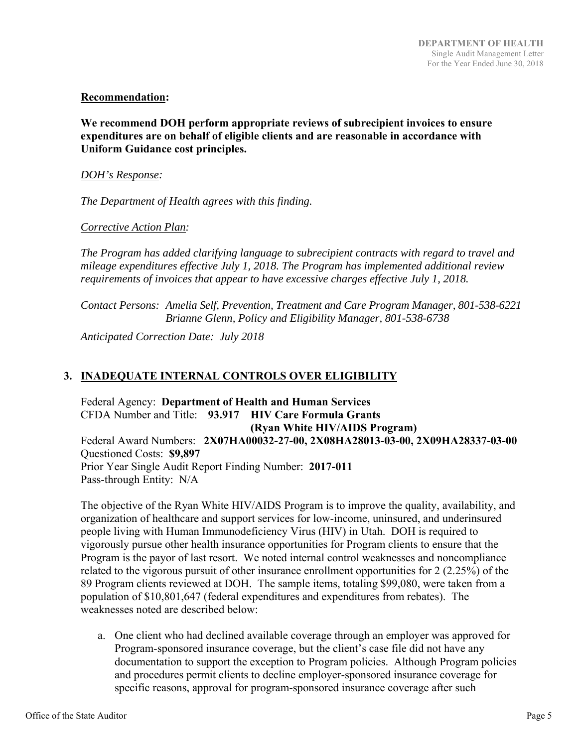## **Recommendation:**

**We recommend DOH perform appropriate reviews of subrecipient invoices to ensure expenditures are on behalf of eligible clients and are reasonable in accordance with Uniform Guidance cost principles.** 

## *DOH's Response:*

*The Department of Health agrees with this finding.* 

## *Corrective Action Plan:*

*The Program has added clarifying language to subrecipient contracts with regard to travel and mileage expenditures effective July 1, 2018. The Program has implemented additional review requirements of invoices that appear to have excessive charges effective July 1, 2018.* 

*Contact Persons: Amelia Self, Prevention, Treatment and Care Program Manager, 801-538-6221 Brianne Glenn, Policy and Eligibility Manager, 801-538-6738* 

*Anticipated Correction Date: July 2018* 

## **3. INADEQUATE INTERNAL CONTROLS OVER ELIGIBILITY**

Federal Agency: **Department of Health and Human Services**  CFDA Number and Title: **93.917 HIV Care Formula Grants (Ryan White HIV/AIDS Program)**  Federal Award Numbers: **2X07HA00032-27-00, 2X08HA28013-03-00, 2X09HA28337-03-00**  Questioned Costs: **\$9,897** Prior Year Single Audit Report Finding Number: **2017-011** Pass-through Entity: N/A

The objective of the Ryan White HIV/AIDS Program is to improve the quality, availability, and organization of healthcare and support services for low-income, uninsured, and underinsured people living with Human Immunodeficiency Virus (HIV) in Utah. DOH is required to vigorously pursue other health insurance opportunities for Program clients to ensure that the Program is the payor of last resort. We noted internal control weaknesses and noncompliance related to the vigorous pursuit of other insurance enrollment opportunities for 2 (2.25%) of the 89 Program clients reviewed at DOH. The sample items, totaling \$99,080, were taken from a population of \$10,801,647 (federal expenditures and expenditures from rebates). The weaknesses noted are described below:

a. One client who had declined available coverage through an employer was approved for Program-sponsored insurance coverage, but the client's case file did not have any documentation to support the exception to Program policies. Although Program policies and procedures permit clients to decline employer-sponsored insurance coverage for specific reasons, approval for program-sponsored insurance coverage after such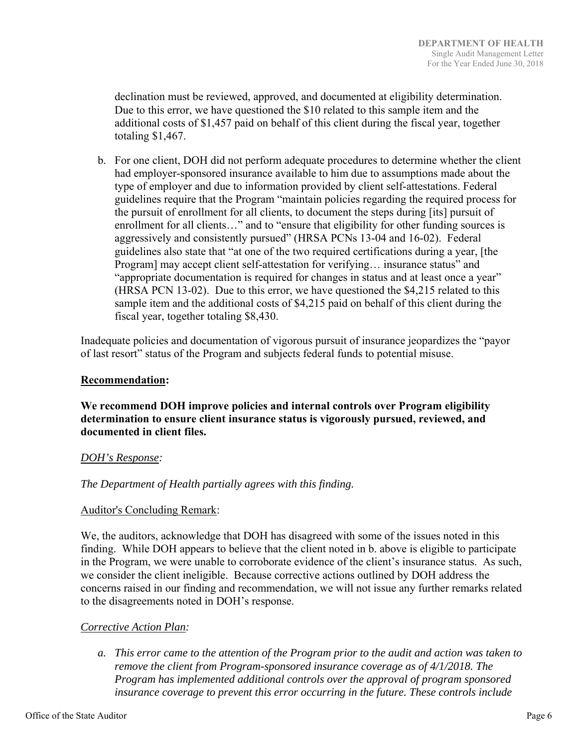declination must be reviewed, approved, and documented at eligibility determination. Due to this error, we have questioned the \$10 related to this sample item and the additional costs of \$1,457 paid on behalf of this client during the fiscal year, together totaling \$1,467.

b. For one client, DOH did not perform adequate procedures to determine whether the client had employer-sponsored insurance available to him due to assumptions made about the type of employer and due to information provided by client self-attestations. Federal guidelines require that the Program "maintain policies regarding the required process for the pursuit of enrollment for all clients, to document the steps during [its] pursuit of enrollment for all clients…" and to "ensure that eligibility for other funding sources is aggressively and consistently pursued" (HRSA PCNs 13-04 and 16-02). Federal guidelines also state that "at one of the two required certifications during a year, [the Program] may accept client self-attestation for verifying... insurance status" and "appropriate documentation is required for changes in status and at least once a year" (HRSA PCN 13-02). Due to this error, we have questioned the \$4,215 related to this sample item and the additional costs of \$4,215 paid on behalf of this client during the fiscal year, together totaling \$8,430.

Inadequate policies and documentation of vigorous pursuit of insurance jeopardizes the "payor of last resort" status of the Program and subjects federal funds to potential misuse.

## **Recommendation:**

**We recommend DOH improve policies and internal controls over Program eligibility determination to ensure client insurance status is vigorously pursued, reviewed, and documented in client files.** 

## *DOH's Response:*

## *The Department of Health partially agrees with this finding.*

## Auditor's Concluding Remark:

We, the auditors, acknowledge that DOH has disagreed with some of the issues noted in this finding. While DOH appears to believe that the client noted in b. above is eligible to participate in the Program, we were unable to corroborate evidence of the client's insurance status. As such, we consider the client ineligible. Because corrective actions outlined by DOH address the concerns raised in our finding and recommendation, we will not issue any further remarks related to the disagreements noted in DOH's response.

## *Corrective Action Plan:*

*a. This error came to the attention of the Program prior to the audit and action was taken to remove the client from Program-sponsored insurance coverage as of 4/1/2018. The Program has implemented additional controls over the approval of program sponsored insurance coverage to prevent this error occurring in the future. These controls include*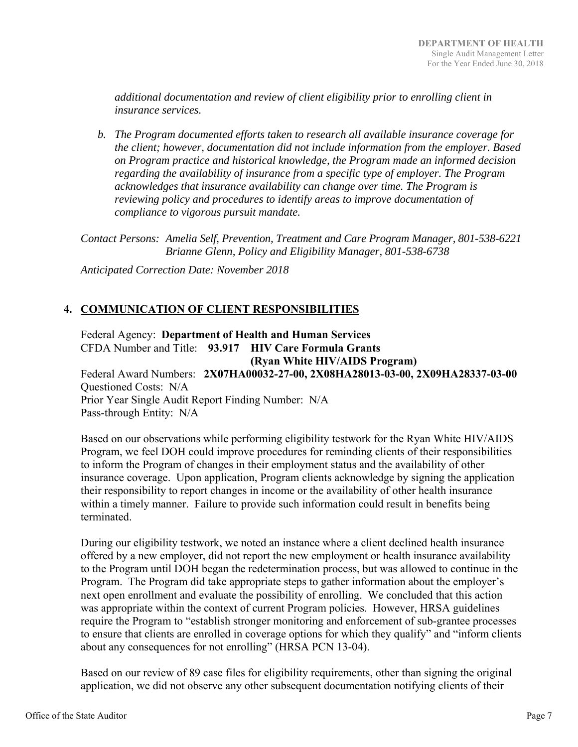*additional documentation and review of client eligibility prior to enrolling client in insurance services.* 

*b. The Program documented efforts taken to research all available insurance coverage for the client; however, documentation did not include information from the employer. Based on Program practice and historical knowledge, the Program made an informed decision regarding the availability of insurance from a specific type of employer. The Program acknowledges that insurance availability can change over time. The Program is reviewing policy and procedures to identify areas to improve documentation of compliance to vigorous pursuit mandate.* 

*Contact Persons: Amelia Self, Prevention, Treatment and Care Program Manager, 801-538-6221 Brianne Glenn, Policy and Eligibility Manager, 801-538-6738* 

*Anticipated Correction Date: November 2018* 

## **4. COMMUNICATION OF CLIENT RESPONSIBILITIES**

Federal Agency: **Department of Health and Human Services**  CFDA Number and Title: **93.917 HIV Care Formula Grants (Ryan White HIV/AIDS Program)**  Federal Award Numbers: **2X07HA00032-27-00, 2X08HA28013-03-00, 2X09HA28337-03-00**  Questioned Costs: N/A Prior Year Single Audit Report Finding Number: N/A Pass-through Entity: N/A

Based on our observations while performing eligibility testwork for the Ryan White HIV/AIDS Program, we feel DOH could improve procedures for reminding clients of their responsibilities to inform the Program of changes in their employment status and the availability of other insurance coverage. Upon application, Program clients acknowledge by signing the application their responsibility to report changes in income or the availability of other health insurance within a timely manner. Failure to provide such information could result in benefits being terminated.

During our eligibility testwork, we noted an instance where a client declined health insurance offered by a new employer, did not report the new employment or health insurance availability to the Program until DOH began the redetermination process, but was allowed to continue in the Program. The Program did take appropriate steps to gather information about the employer's next open enrollment and evaluate the possibility of enrolling. We concluded that this action was appropriate within the context of current Program policies. However, HRSA guidelines require the Program to "establish stronger monitoring and enforcement of sub-grantee processes to ensure that clients are enrolled in coverage options for which they qualify" and "inform clients about any consequences for not enrolling" (HRSA PCN 13-04).

Based on our review of 89 case files for eligibility requirements, other than signing the original application, we did not observe any other subsequent documentation notifying clients of their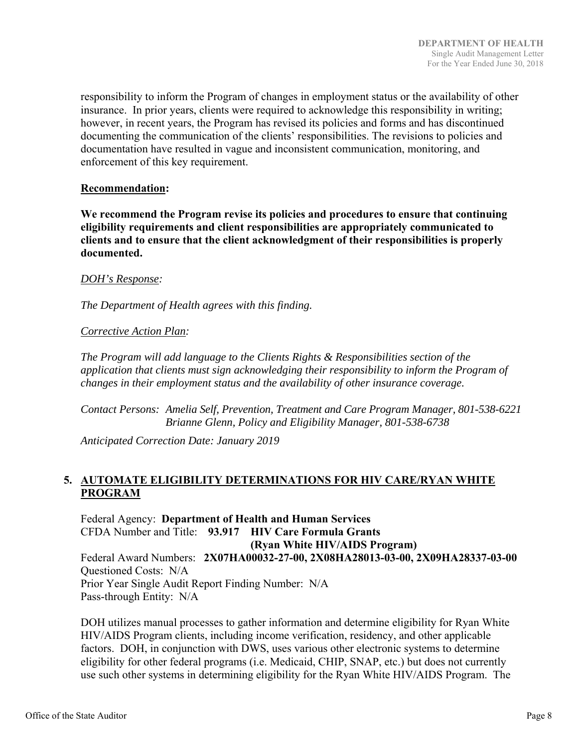responsibility to inform the Program of changes in employment status or the availability of other insurance. In prior years, clients were required to acknowledge this responsibility in writing; however, in recent years, the Program has revised its policies and forms and has discontinued documenting the communication of the clients' responsibilities. The revisions to policies and documentation have resulted in vague and inconsistent communication, monitoring, and enforcement of this key requirement.

#### **Recommendation:**

**We recommend the Program revise its policies and procedures to ensure that continuing eligibility requirements and client responsibilities are appropriately communicated to clients and to ensure that the client acknowledgment of their responsibilities is properly documented.** 

#### *DOH's Response:*

*The Department of Health agrees with this finding.* 

## *Corrective Action Plan:*

*The Program will add language to the Clients Rights & Responsibilities section of the application that clients must sign acknowledging their responsibility to inform the Program of changes in their employment status and the availability of other insurance coverage.* 

*Contact Persons: Amelia Self, Prevention, Treatment and Care Program Manager, 801-538-6221 Brianne Glenn, Policy and Eligibility Manager, 801-538-6738* 

*Anticipated Correction Date: January 2019* 

## **5. AUTOMATE ELIGIBILITY DETERMINATIONS FOR HIV CARE/RYAN WHITE PROGRAM**

Federal Agency: **Department of Health and Human Services**  CFDA Number and Title: **93.917 HIV Care Formula Grants (Ryan White HIV/AIDS Program)**  Federal Award Numbers: **2X07HA00032-27-00, 2X08HA28013-03-00, 2X09HA28337-03-00**  Questioned Costs: N/A Prior Year Single Audit Report Finding Number: N/A Pass-through Entity: N/A

DOH utilizes manual processes to gather information and determine eligibility for Ryan White HIV/AIDS Program clients, including income verification, residency, and other applicable factors. DOH, in conjunction with DWS, uses various other electronic systems to determine eligibility for other federal programs (i.e. Medicaid, CHIP, SNAP, etc.) but does not currently use such other systems in determining eligibility for the Ryan White HIV/AIDS Program. The